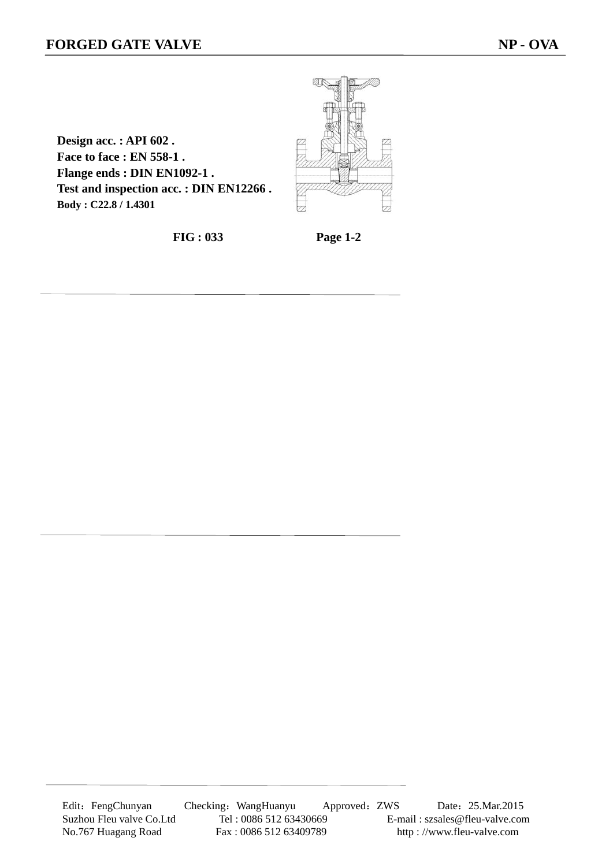$\overline{a}$ 



**Design acc. : API 602 . Face to face : EN 558-1 . Flange ends : DIN EN1092-1 . Test and inspection acc. : DIN EN12266 . Body : C22.8 / 1.4301**

**FIG : 033 Page 1-2**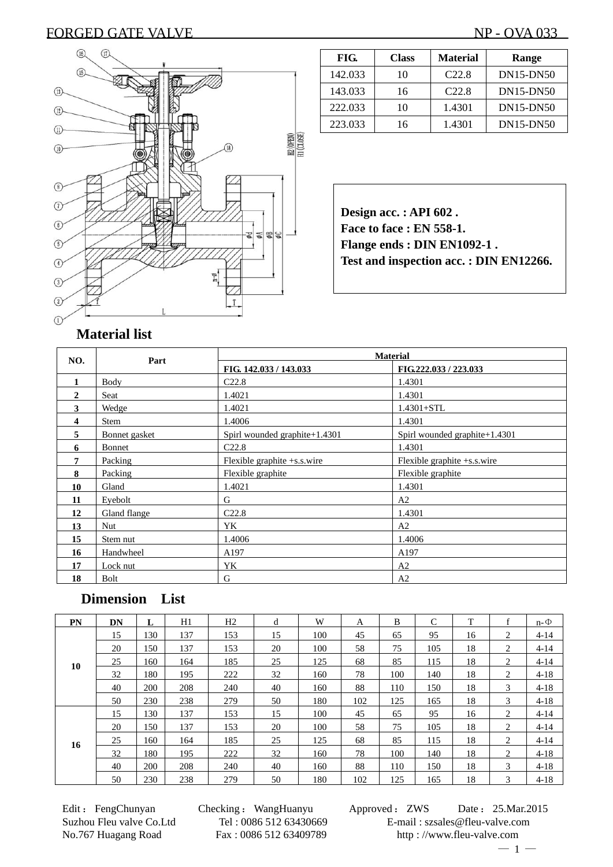## FORGED GATE VALVE NP - OVA 033



| FIG.    | <b>Class</b> | <b>Material</b>   | Range            |
|---------|--------------|-------------------|------------------|
| 142.033 | 10           | C <sub>22.8</sub> | DN15-DN50        |
| 143.033 | 16           | C22.8             | <b>DN15-DN50</b> |
| 222.033 | 10           | 1.4301            | <b>DN15-DN50</b> |
| 223.033 | 16           | 1.4301            | $DN15-DN50$      |

**Design acc. : API 602 . Face to face : EN 558-1. Flange ends : DIN EN1092-1 . Test and inspection acc. : DIN EN12266.** 

| NO.          | Part          | <b>Material</b>               |                                  |  |  |  |  |
|--------------|---------------|-------------------------------|----------------------------------|--|--|--|--|
|              |               | FIG. 142.033 / 143.033        | FIG.222.033 / 223.033            |  |  |  |  |
| $\mathbf{1}$ | Body          | C <sub>22.8</sub>             | 1.4301                           |  |  |  |  |
| $\mathbf{2}$ | Seat          | 1.4021                        | 1.4301                           |  |  |  |  |
| 3            | Wedge         | 1.4021                        | $1.4301 + STL$                   |  |  |  |  |
| 4            | Stem          | 1.4006                        | 1.4301                           |  |  |  |  |
| 5            | Bonnet gasket | Spirl wounded graphite+1.4301 | Spirl wounded graphite $+1.4301$ |  |  |  |  |
| 6            | Bonnet        | C <sub>22.8</sub>             | 1.4301                           |  |  |  |  |
| 7            | Packing       | Flexible graphite $+s.s.wire$ | Flexible graphite $+s.s.wire$    |  |  |  |  |
| 8            | Packing       | Flexible graphite             | Flexible graphite                |  |  |  |  |
| 10           | Gland         | 1.4021                        | 1.4301                           |  |  |  |  |
| 11           | Eyebolt       | G                             | A <sub>2</sub>                   |  |  |  |  |
| 12           | Gland flange  | C22.8                         | 1.4301                           |  |  |  |  |
| 13           | Nut.          | YK                            | A2                               |  |  |  |  |
| 15           | Stem nut      | 1.4006                        | 1.4006                           |  |  |  |  |
| 16           | Handwheel     | A197                          | A197                             |  |  |  |  |
| 17           | Lock nut      | YK                            | A <sub>2</sub>                   |  |  |  |  |
| 18           | Bolt          | G                             | A <sub>2</sub>                   |  |  |  |  |

### **Dimension List**

| PN | DN | L   | H1  | H <sub>2</sub> | d  | W   | A   | B   | C   | T  | f | $n-\Phi$ |
|----|----|-----|-----|----------------|----|-----|-----|-----|-----|----|---|----------|
| 10 | 15 | 130 | 137 | 153            | 15 | 100 | 45  | 65  | 95  | 16 | 2 | $4 - 14$ |
|    | 20 | 150 | 137 | 153            | 20 | 100 | 58  | 75  | 105 | 18 | 2 | $4 - 14$ |
|    | 25 | 160 | 164 | 185            | 25 | 125 | 68  | 85  | 115 | 18 | 2 | $4 - 14$ |
|    | 32 | 180 | 195 | 222            | 32 | 160 | 78  | 100 | 140 | 18 | 2 | $4 - 18$ |
|    | 40 | 200 | 208 | 240            | 40 | 160 | 88  | 110 | 150 | 18 | 3 | $4 - 18$ |
|    | 50 | 230 | 238 | 279            | 50 | 180 | 102 | 125 | 165 | 18 | 3 | $4 - 18$ |
| 16 | 15 | 130 | 137 | 153            | 15 | 100 | 45  | 65  | 95  | 16 | 2 | $4 - 14$ |
|    | 20 | 150 | 137 | 153            | 20 | 100 | 58  | 75  | 105 | 18 | 2 | $4 - 14$ |
|    | 25 | 160 | 164 | 185            | 25 | 125 | 68  | 85  | 115 | 18 | 2 | $4 - 14$ |
|    | 32 | 180 | 195 | 222            | 32 | 160 | 78  | 100 | 140 | 18 | 2 | $4 - 18$ |
|    | 40 | 200 | 208 | 240            | 40 | 160 | 88  | 110 | 150 | 18 | 3 | $4 - 18$ |
|    | 50 | 230 | 238 | 279            | 50 | 180 | 102 | 125 | 165 | 18 | 3 | $4 - 18$ |

Edit : FengChunyan Checking : WangHuanyu Approved : ZWS Date : 25.Mar.2015 Suzhou Fleu valve Co.Ltd Tel : 0086 512 63430669 E-mail : szsales@fleu-valve.com No.767 Huagang Road Fax : 0086 512 63409789 http : //www.fleu-valve.com  $-1-$